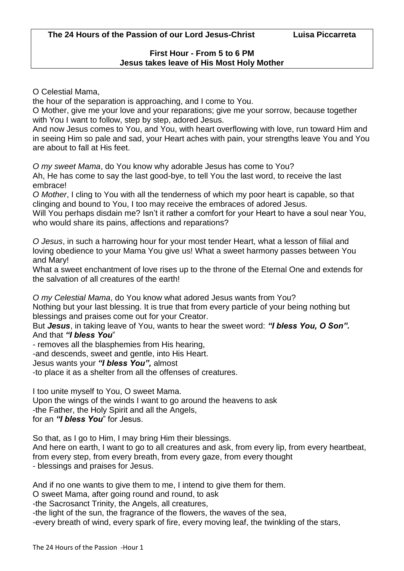## **First Hour - From 5 to 6 PM Jesus takes leave of His Most Holy Mother**

O Celestial Mama,

the hour of the separation is approaching, and I come to You.

O Mother, give me your love and your reparations; give me your sorrow, because together with You I want to follow, step by step, adored Jesus.

And now Jesus comes to You, and You, with heart overflowing with love, run toward Him and in seeing Him so pale and sad, your Heart aches with pain, your strengths leave You and You are about to fall at His feet.

*O my sweet Mama*, do You know why adorable Jesus has come to You?

Ah, He has come to say the last good-bye, to tell You the last word, to receive the last embrace!

*O Mother*, I cling to You with all the tenderness of which my poor heart is capable, so that clinging and bound to You, I too may receive the embraces of adored Jesus.

Will You perhaps disdain me? Isn't it rather a comfort for your Heart to have a soul near You, who would share its pains, affections and reparations?

*O Jesus*, in such a harrowing hour for your most tender Heart, what a lesson of filial and loving obedience to your Mama You give us! What a sweet harmony passes between You and Mary!

What a sweet enchantment of love rises up to the throne of the Eternal One and extends for the salvation of all creatures of the earth!

*O my Celestial Mama*, do You know what adored Jesus wants from You?

Nothing but your last blessing. It is true that from every particle of your being nothing but blessings and praises come out for your Creator.

But *Jesus*, in taking leave of You, wants to hear the sweet word: *"I bless You, O Son".* And that *"I bless You*"

- removes all the blasphemies from His hearing,

-and descends, sweet and gentle, into His Heart.

Jesus wants your *"I bless You",* almost

-to place it as a shelter from all the offenses of creatures.

I too unite myself to You, O sweet Mama.

Upon the wings of the winds I want to go around the heavens to ask -the Father, the Holy Spirit and all the Angels, for an *"I bless You*" for Jesus.

So that, as I go to Him, I may bring Him their blessings. And here on earth, I want to go to all creatures and ask, from every lip, from every heartbeat, from every step, from every breath, from every gaze, from every thought - blessings and praises for Jesus.

And if no one wants to give them to me, I intend to give them for them.

O sweet Mama, after going round and round, to ask

-the Sacrosanct Trinity, the Angels, all creatures,

-the light of the sun, the fragrance of the flowers, the waves of the sea,

-every breath of wind, every spark of fire, every moving leaf, the twinkling of the stars,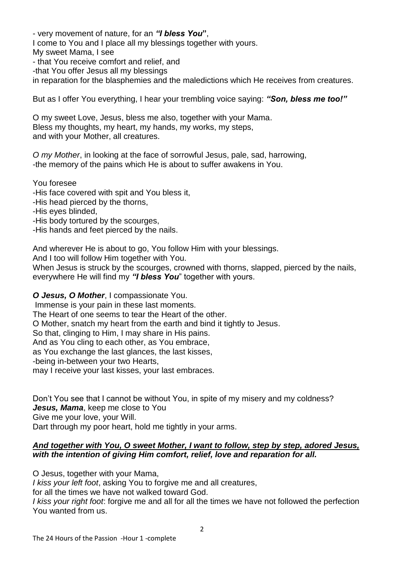- very movement of nature, for an *"I bless You***"**, I come to You and I place all my blessings together with yours. My sweet Mama, I see - that You receive comfort and relief, and -that You offer Jesus all my blessings in reparation for the blasphemies and the maledictions which He receives from creatures.

But as I offer You everything, I hear your trembling voice saying: *"Son, bless me too!"*

O my sweet Love, Jesus, bless me also, together with your Mama. Bless my thoughts, my heart, my hands, my works, my steps, and with your Mother, all creatures.

*O my Mother*, in looking at the face of sorrowful Jesus, pale, sad, harrowing, -the memory of the pains which He is about to suffer awakens in You.

You foresee -His face covered with spit and You bless it, -His head pierced by the thorns, -His eyes blinded, -His body tortured by the scourges, -His hands and feet pierced by the nails.

And wherever He is about to go, You follow Him with your blessings.

And I too will follow Him together with You.

When Jesus is struck by the scourges, crowned with thorns, slapped, pierced by the nails, everywhere He will find my *"I bless You*" together with yours.

*O Jesus, O Mother*, I compassionate You.

Immense is your pain in these last moments.

The Heart of one seems to tear the Heart of the other.

O Mother, snatch my heart from the earth and bind it tightly to Jesus.

So that, clinging to Him, I may share in His pains.

And as You cling to each other, as You embrace,

as You exchange the last glances, the last kisses,

-being in-between your two Hearts,

may I receive your last kisses, your last embraces.

Don't You see that I cannot be without You, in spite of my misery and my coldness? *Jesus, Mama*, keep me close to You

Give me your love, your Will.

Dart through my poor heart, hold me tightly in your arms.

## *And together with You, O sweet Mother, I want to follow, step by step, adored Jesus, with the intention of giving Him comfort, relief, love and reparation for all.*

O Jesus, together with your Mama,

*I kiss your left foot*, asking You to forgive me and all creatures,

for all the times we have not walked toward God.

*I kiss your right foot*: forgive me and all for all the times we have not followed the perfection You wanted from us.